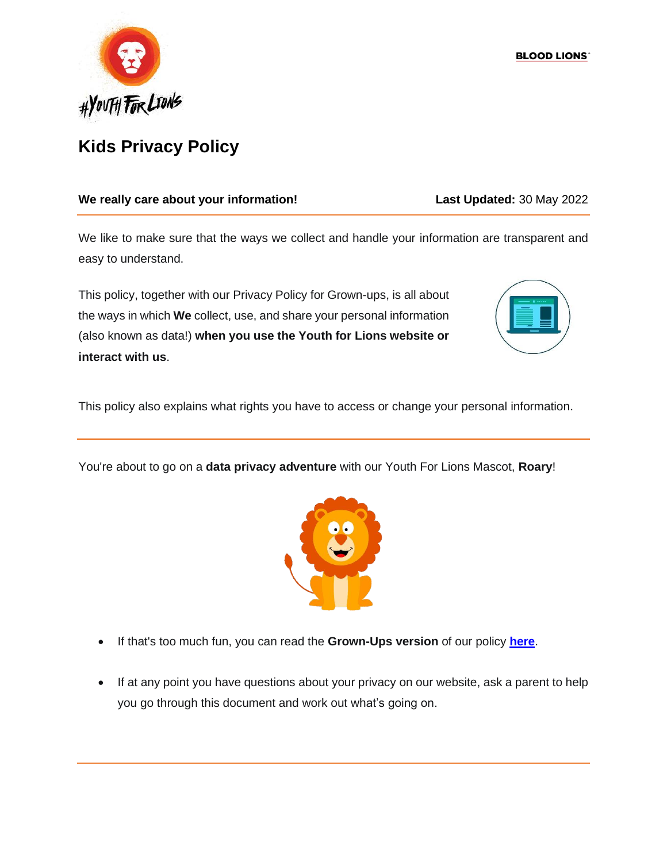

### **We really care about your information! Last Updated:** 30 May 2022

We like to make sure that the ways we collect and handle your information are transparent and easy to understand.

This policy, together with our Privacy Policy for Grown-ups, is all about the ways in which **We** collect, use, and share your personal information (also known as data!) **when you use the Youth for Lions website or interact with us**.



This policy also explains what rights you have to access or change your personal information.

You're about to go on a **data privacy adventure** with our Youth For Lions Mascot, **Roary**!



- If that's too much fun, you can read the **Grown-Ups version** of our policy **[here](https://bloodlions.org/wp-content/uploads/2022/06/Blood-Lions-Privacy-Policy.-Updated-30.05.2022.pdf)**.
- If at any point you have questions about your privacy on our website, ask a parent to help you go through this document and work out what's going on.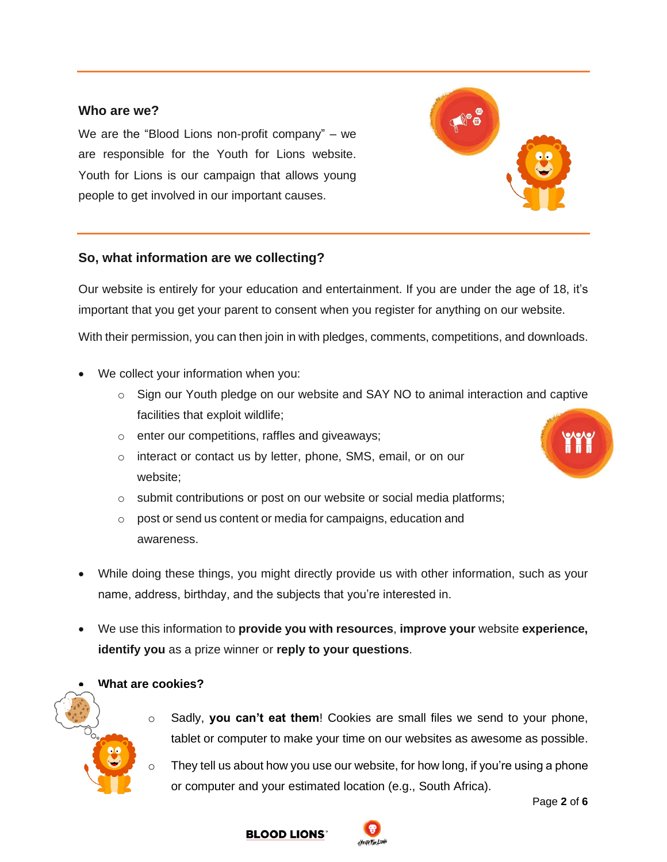### **Who are we?**

We are the "Blood Lions non-profit company" – we are responsible for the Youth for Lions website. Youth for Lions is our campaign that allows young people to get involved in our important causes.

#### **So, what information are we collecting?**

Our website is entirely for your education and entertainment. If you are under the age of 18, it's important that you get your parent to consent when you register for anything on our website. With their permission, you can then join in with pledges, comments, competitions, and downloads.

- We collect your information when you:
	- o Sign our Youth pledge on our website and SAY NO to animal interaction and captive facilities that exploit wildlife;
	- o enter our competitions, raffles and giveaways;
	- o interact or contact us by letter, phone, SMS, email, or on our website;
	- o submit contributions or post on our website or social media platforms;
	- o post or send us content or media for campaigns, education and awareness.
- While doing these things, you might directly provide us with other information, such as your name, address, birthday, and the subjects that you're interested in.
- We use this information to **provide you with resources**, **improve your** website **experience, identify you** as a prize winner or **reply to your questions**.

#### • **What are cookies?**

- Sadly, you can't eat them! Cookies are small files we send to your phone, tablet or computer to make your time on our websites as awesome as possible.
- $\circ$  They tell us about how you use our website, for how long, if you're using a phone or computer and your estimated location (e.g., South Africa).







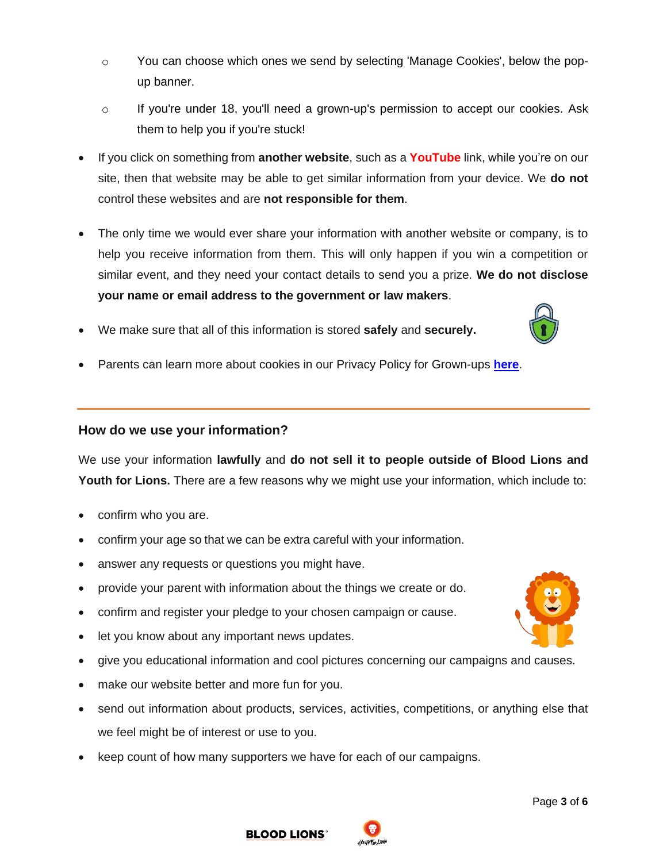- $\circ$  You can choose which ones we send by selecting 'Manage Cookies', below the popup banner.
- $\circ$  If you're under 18, you'll need a grown-up's permission to accept our cookies. Ask them to help you if you're stuck!
- If you click on something from **another website**, such as a **YouTube** link, while you're on our site, then that website may be able to get similar information from your device. We **do not** control these websites and are **not responsible for them**.
- The only time we would ever share your information with another website or company, is to help you receive information from them. This will only happen if you win a competition or similar event, and they need your contact details to send you a prize. **We do not disclose your name or email address to the government or law makers**.
- We make sure that all of this information is stored **safely** and **securely.**
- Parents can learn more about cookies in our Privacy Policy for Grown-ups **[here](https://bloodlions.org/wp-content/uploads/2022/03/Blood-Lions-Privacy-Policy.-Updated-17.03.2022.pdf)**.

#### **How do we use your information?**

We use your information **lawfully** and **do not sell it to people outside of Blood Lions and Youth for Lions.** There are a few reasons why we might use your information, which include to:

- confirm who you are.
- confirm your age so that we can be extra careful with your information.
- answer any requests or questions you might have.
- provide your parent with information about the things we create or do.
- confirm and register your pledge to your chosen campaign or cause.
- let you know about any important news updates.
- give you educational information and cool pictures concerning our campaigns and causes.
- make our website better and more fun for you.
- send out information about products, services, activities, competitions, or anything else that we feel might be of interest or use to you.
- keep count of how many supporters we have for each of our campaigns.





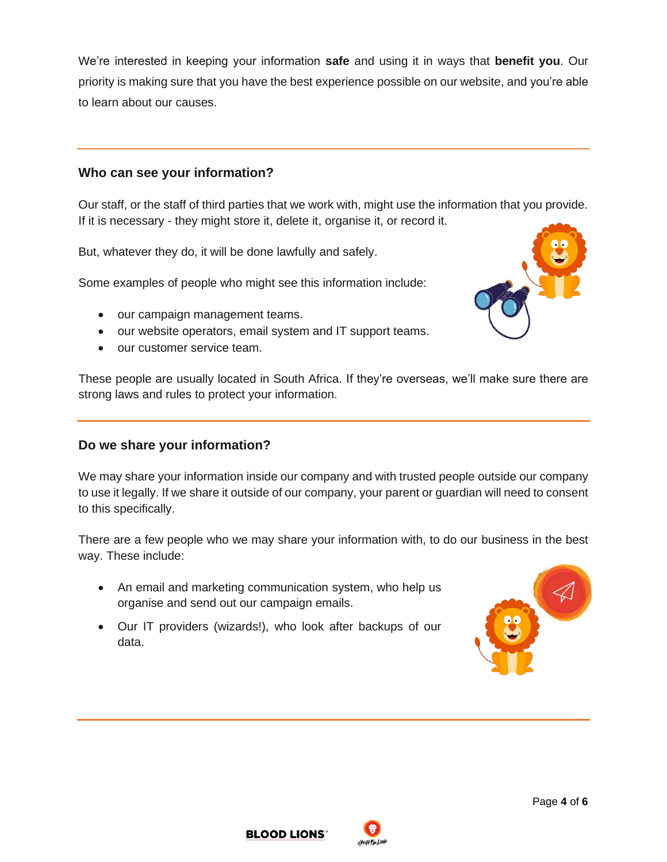We're interested in keeping your information **safe** and using it in ways that **benefit you**. Our priority is making sure that you have the best experience possible on our website, and you're able to learn about our causes.

### **Who can see your information?**

Our staff, or the staff of third parties that we work with, might use the information that you provide. If it is necessary - they might store it, delete it, organise it, or record it.

But, whatever they do, it will be done lawfully and safely.

Some examples of people who might see this information include:

- our campaign management teams.
- our website operators, email system and IT support teams.
- our customer service team.



These people are usually located in South Africa. If they're overseas, we'll make sure there are strong laws and rules to protect your information.

### **Do we share your information?**

We may share your information inside our company and with trusted people outside our company to use it legally. If we share it outside of our company, your parent or guardian will need to consent to this specifically.

There are a few people who we may share your information with, to do our business in the best way. These include:

- An email and marketing communication system, who help us organise and send out our campaign emails.
- Our IT providers (wizards!), who look after backups of our data.







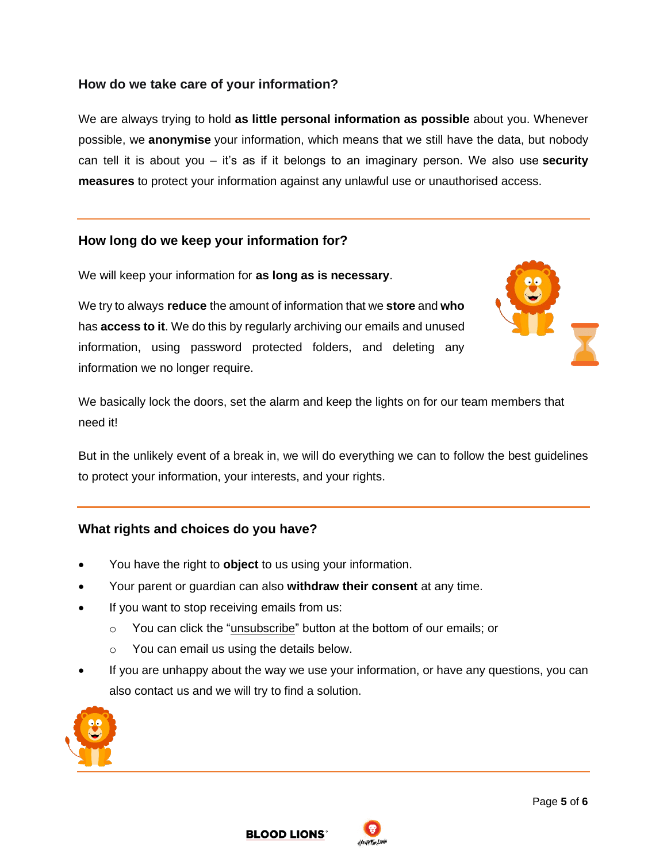## **How do we take care of your information?**

We are always trying to hold **as little personal information as possible** about you. Whenever possible, we **anonymise** your information, which means that we still have the data, but nobody can tell it is about you – it's as if it belongs to an imaginary person. We also use **security measures** to protect your information against any unlawful use or unauthorised access.

#### **How long do we keep your information for?**

We will keep your information for **as long as is necessary**.

We try to always **reduce** the amount of information that we **store** and **who** has **access to it**. We do this by regularly archiving our emails and unused information, using password protected folders, and deleting any information we no longer require.



We basically lock the doors, set the alarm and keep the lights on for our team members that need it!

But in the unlikely event of a break in, we will do everything we can to follow the best guidelines to protect your information, your interests, and your rights.

#### **What rights and choices do you have?**

- You have the right to **object** to us using your information.
- Your parent or guardian can also **withdraw their consent** at any time.
- If you want to stop receiving emails from us:
	- o You can click the "unsubscribe" button at the bottom of our emails; or
	- o You can email us using the details below.
- If you are unhappy about the way we use your information, or have any questions, you can also contact us and we will try to find a solution.